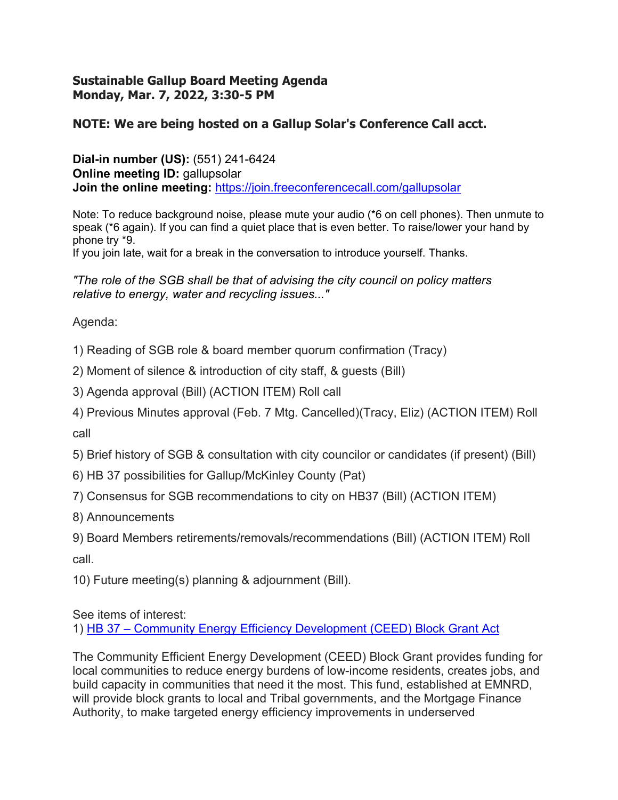## **Sustainable Gallup Board Meeting Agenda Monday, Mar. 7, 2022, 3:30-5 PM**

## **NOTE: We are being hosted on a Gallup Solar's Conference Call acct.**

**Dial-in number (US):** (551) 241-6424 **Online meeting ID:** gallupsolar **Join the online meeting:** https://join.freeconferencecall.com/gallupsolar

Note: To reduce background noise, please mute your audio (\*6 on cell phones). Then unmute to speak (\*6 again). If you can find a quiet place that is even better. To raise/lower your hand by phone try \*9.

If you join late, wait for a break in the conversation to introduce yourself. Thanks.

*"The role of the SGB shall be that of advising the city council on policy matters relative to energy, water and recycling issues..."* 

Agenda:

1) Reading of SGB role & board member quorum confirmation (Tracy)

2) Moment of silence & introduction of city staff, & guests (Bill)

3) Agenda approval (Bill) (ACTION ITEM) Roll call

4) Previous Minutes approval (Feb. 7 Mtg. Cancelled)(Tracy, Eliz) (ACTION ITEM) Roll call

5) Brief history of SGB & consultation with city councilor or candidates (if present) (Bill)

6) HB 37 possibilities for Gallup/McKinley County (Pat)

7) Consensus for SGB recommendations to city on HB37 (Bill) (ACTION ITEM)

8) Announcements

9) Board Members retirements/removals/recommendations (Bill) (ACTION ITEM) Roll call.

10) Future meeting(s) planning & adjournment (Bill).

See items of interest:

1) HB 37 – Community Energy Efficiency Development (CEED) Block Grant Act

The Community Efficient Energy Development (CEED) Block Grant provides funding for local communities to reduce energy burdens of low-income residents, creates jobs, and build capacity in communities that need it the most. This fund, established at EMNRD, will provide block grants to local and Tribal governments, and the Mortgage Finance Authority, to make targeted energy efficiency improvements in underserved